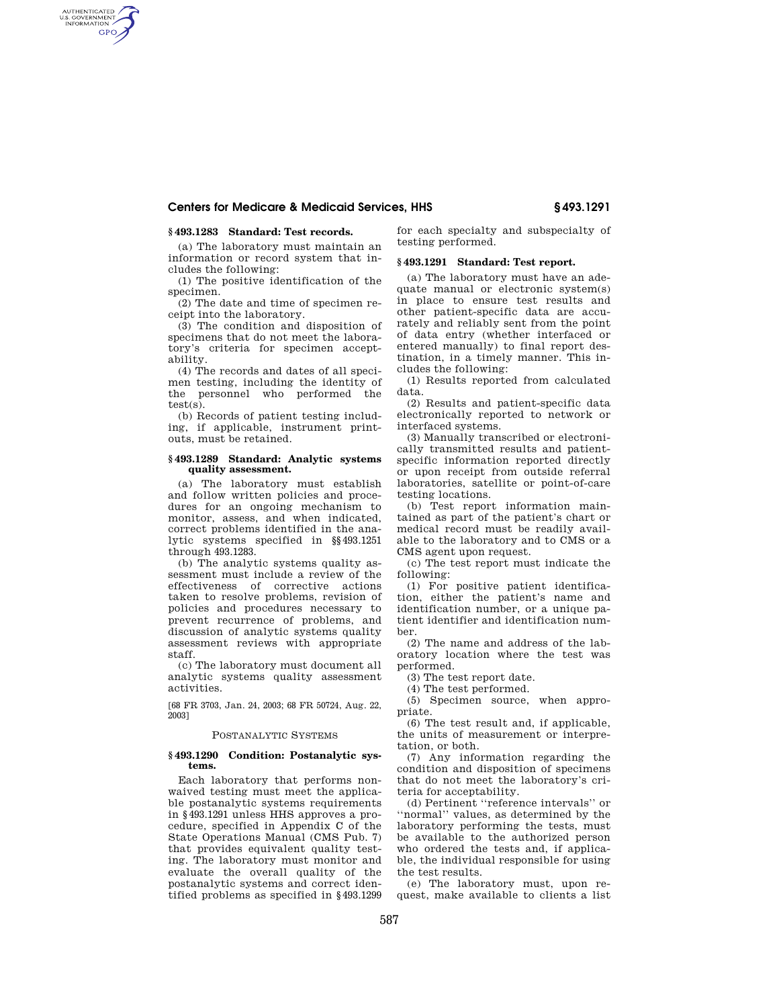## **Centers for Medicare & Medicaid Services, HHS § 493.1291**

## **§ 493.1283 Standard: Test records.**

AUTHENTICATED<br>U.S. GOVERNMENT<br>INFORMATION **GPO** 

> (a) The laboratory must maintain an information or record system that includes the following:

(1) The positive identification of the specimen.

(2) The date and time of specimen receipt into the laboratory.

(3) The condition and disposition of specimens that do not meet the laboratory's criteria for specimen acceptability.

(4) The records and dates of all specimen testing, including the identity of the personnel who performed the test(s).

(b) Records of patient testing including, if applicable, instrument printouts, must be retained.

#### **§ 493.1289 Standard: Analytic systems quality assessment.**

(a) The laboratory must establish and follow written policies and procedures for an ongoing mechanism to monitor, assess, and when indicated, correct problems identified in the analytic systems specified in §§493.1251 through 493.1283.

(b) The analytic systems quality assessment must include a review of the effectiveness of corrective actions taken to resolve problems, revision of policies and procedures necessary to prevent recurrence of problems, and discussion of analytic systems quality assessment reviews with appropriate staff.

(c) The laboratory must document all analytic systems quality assessment activities.

[68 FR 3703, Jan. 24, 2003; 68 FR 50724, Aug. 22, 2003]

#### POSTANALYTIC SYSTEMS

#### **§ 493.1290 Condition: Postanalytic systems.**

Each laboratory that performs nonwaived testing must meet the applicable postanalytic systems requirements in §493.1291 unless HHS approves a procedure, specified in Appendix C of the State Operations Manual (CMS Pub. 7) that provides equivalent quality testing. The laboratory must monitor and evaluate the overall quality of the postanalytic systems and correct identified problems as specified in §493.1299

for each specialty and subspecialty of testing performed.

## **§ 493.1291 Standard: Test report.**

(a) The laboratory must have an adequate manual or electronic system(s) in place to ensure test results and other patient-specific data are accurately and reliably sent from the point of data entry (whether interfaced or entered manually) to final report destination, in a timely manner. This includes the following:

(1) Results reported from calculated data.

(2) Results and patient-specific data electronically reported to network or interfaced systems.

(3) Manually transcribed or electronically transmitted results and patientspecific information reported directly or upon receipt from outside referral laboratories, satellite or point-of-care testing locations.

(b) Test report information maintained as part of the patient's chart or medical record must be readily available to the laboratory and to CMS or a CMS agent upon request.

(c) The test report must indicate the following:

(1) For positive patient identification, either the patient's name and identification number, or a unique patient identifier and identification number.

(2) The name and address of the laboratory location where the test was performed.

(3) The test report date.

(4) The test performed.

(5) Specimen source, when appropriate.

(6) The test result and, if applicable, the units of measurement or interpretation, or both.

(7) Any information regarding the condition and disposition of specimens that do not meet the laboratory's criteria for acceptability.

(d) Pertinent ''reference intervals'' or ''normal'' values, as determined by the laboratory performing the tests, must be available to the authorized person who ordered the tests and, if applicable, the individual responsible for using the test results.

(e) The laboratory must, upon request, make available to clients a list